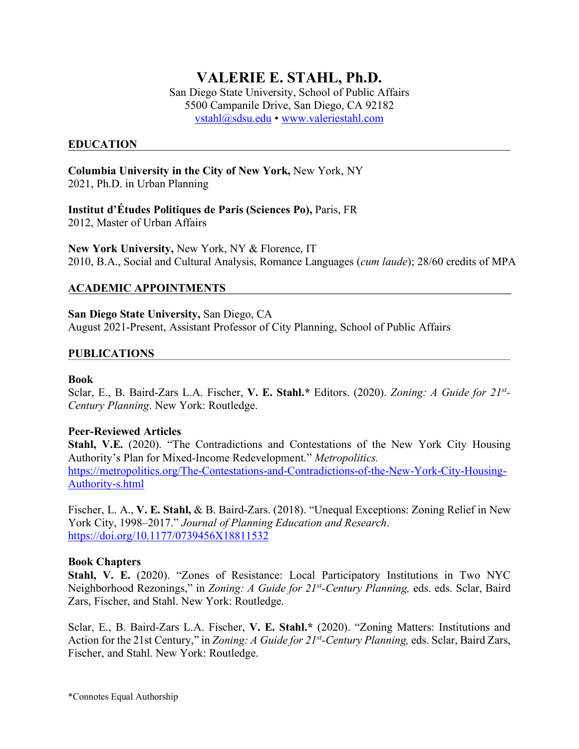# **VALERIE E. STAHL, Ph.D.**

San Diego State University, School of Public Affairs 5500 Campanile Drive, San Diego, CA 92182 vstahl@sdsu.edu • www.valeriestahl.com

## **EDUCATION**

**Columbia University in the City of New York,** New York, NY 2021, Ph.D. in Urban Planning

**Institut d'Études Politiques de Paris (Sciences Po),** Paris, FR 2012, Master of Urban Affairs

**New York University,** New York, NY & Florence, IT 2010, B.A., Social and Cultural Analysis, Romance Languages (*cum laude*); 28/60 credits of MPA

## **ACADEMIC APPOINTMENTS**

**San Diego State University,** San Diego, CA August 2021-Present, Assistant Professor of City Planning, School of Public Affairs

#### **PUBLICATIONS**

#### **Book**

Sclar, E., B. Baird-Zars L.A. Fischer, **V. E. Stahl.\*** Editors. (2020). *Zoning: A Guide for 21st-Century Planning*. New York: Routledge.

#### **Peer-Reviewed Articles**

**Stahl, V.E.** (2020). "The Contradictions and Contestations of the New York City Housing Authority's Plan for Mixed-Income Redevelopment." *Metropolitics.*  https://metropolitics.org/The-Contestations-and-Contradictions-of-the-New-York-City-Housing-Authority-s.html

Fischer, L. A., **V. E. Stahl,** & B. Baird-Zars. (2018). "Unequal Exceptions: Zoning Relief in New York City, 1998–2017." *Journal of Planning Education and Research*. https://doi.org/10.1177/0739456X18811532

#### **Book Chapters**

**Stahl, V. E.** (2020). "Zones of Resistance: Local Participatory Institutions in Two NYC Neighborhood Rezonings," in *Zoning: A Guide for 21st-Century Planning,* eds. eds. Sclar, Baird Zars, Fischer, and Stahl. New York: Routledge.

Sclar, E., B. Baird-Zars L.A. Fischer, **V. E. Stahl.\*** (2020). "Zoning Matters: Institutions and Action for the 21st Century," in *Zoning: A Guide for 21st-Century Planning,* eds. Sclar, Baird Zars, Fischer, and Stahl. New York: Routledge.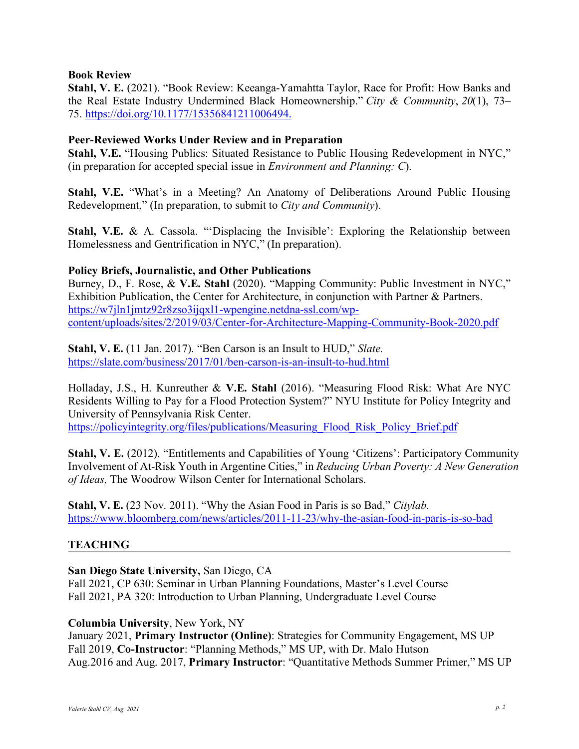#### **Book Review**

**Stahl, V. E.** (2021). "Book Review: Keeanga-Yamahtta Taylor, Race for Profit: How Banks and the Real Estate Industry Undermined Black Homeownership." *City & Community*, *20*(1), 73– 75. https://doi.org/10.1177/15356841211006494.

## **Peer-Reviewed Works Under Review and in Preparation**

**Stahl, V.E.** "Housing Publics: Situated Resistance to Public Housing Redevelopment in NYC," (in preparation for accepted special issue in *Environment and Planning: C*).

**Stahl, V.E.** "What's in a Meeting? An Anatomy of Deliberations Around Public Housing Redevelopment," (In preparation, to submit to *City and Community*).

**Stahl, V.E.** & A. Cassola. "'Displacing the Invisible': Exploring the Relationship between Homelessness and Gentrification in NYC," (In preparation).

## **Policy Briefs, Journalistic, and Other Publications**

Burney, D., F. Rose, & **V.E. Stahl** (2020). "Mapping Community: Public Investment in NYC," Exhibition Publication, the Center for Architecture, in conjunction with Partner & Partners. https://w7jln1jmtz92r8zso3ijqxl1-wpengine.netdna-ssl.com/wpcontent/uploads/sites/2/2019/03/Center-for-Architecture-Mapping-Community-Book-2020.pdf

**Stahl, V. E.** (11 Jan. 2017). "Ben Carson is an Insult to HUD," *Slate.* https://slate.com/business/2017/01/ben-carson-is-an-insult-to-hud.html

Holladay, J.S., H. Kunreuther & **V.E. Stahl** (2016). "Measuring Flood Risk: What Are NYC Residents Willing to Pay for a Flood Protection System?" NYU Institute for Policy Integrity and University of Pennsylvania Risk Center.

https://policyintegrity.org/files/publications/Measuring\_Flood\_Risk\_Policy\_Brief.pdf

**Stahl, V. E.** (2012). "Entitlements and Capabilities of Young 'Citizens': Participatory Community Involvement of At-Risk Youth in Argentine Cities," in *Reducing Urban Poverty: A New Generation of Ideas,* The Woodrow Wilson Center for International Scholars.

**Stahl, V. E.** (23 Nov. 2011). "Why the Asian Food in Paris is so Bad," *Citylab.*  https://www.bloomberg.com/news/articles/2011-11-23/why-the-asian-food-in-paris-is-so-bad

## **TEACHING**

**San Diego State University,** San Diego, CA

Fall 2021, CP 630: Seminar in Urban Planning Foundations, Master's Level Course Fall 2021, PA 320: Introduction to Urban Planning, Undergraduate Level Course

**Columbia University**, New York, NY

January 2021, **Primary Instructor (Online)**: Strategies for Community Engagement, MS UP Fall 2019, **Co-Instructor**: "Planning Methods," MS UP, with Dr. Malo Hutson Aug.2016 and Aug. 2017, **Primary Instructor**: "Quantitative Methods Summer Primer," MS UP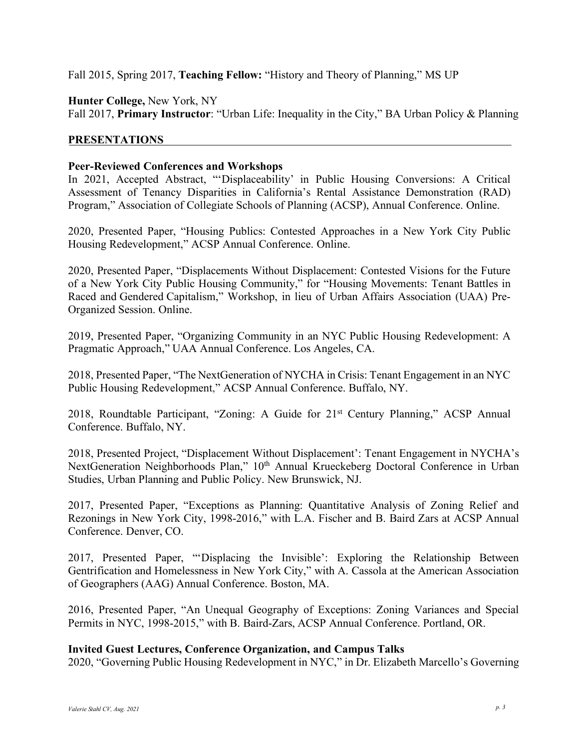Fall 2015, Spring 2017, **Teaching Fellow:** "History and Theory of Planning," MS UP

**Hunter College,** New York, NY Fall 2017, **Primary Instructor**: "Urban Life: Inequality in the City," BA Urban Policy & Planning

## **PRESENTATIONS**

## **Peer-Reviewed Conferences and Workshops**

In 2021, Accepted Abstract, "'Displaceability' in Public Housing Conversions: A Critical Assessment of Tenancy Disparities in California's Rental Assistance Demonstration (RAD) Program," Association of Collegiate Schools of Planning (ACSP), Annual Conference. Online.

2020, Presented Paper, "Housing Publics: Contested Approaches in a New York City Public Housing Redevelopment," ACSP Annual Conference. Online.

2020, Presented Paper, "Displacements Without Displacement: Contested Visions for the Future of a New York City Public Housing Community," for "Housing Movements: Tenant Battles in Raced and Gendered Capitalism," Workshop, in lieu of Urban Affairs Association (UAA) Pre-Organized Session. Online.

2019, Presented Paper, "Organizing Community in an NYC Public Housing Redevelopment: A Pragmatic Approach," UAA Annual Conference. Los Angeles, CA.

2018, Presented Paper, "The NextGeneration of NYCHA in Crisis: Tenant Engagement in an NYC Public Housing Redevelopment," ACSP Annual Conference. Buffalo, NY.

2018, Roundtable Participant, "Zoning: A Guide for 21<sup>st</sup> Century Planning," ACSP Annual Conference. Buffalo, NY.

2018, Presented Project, "Displacement Without Displacement': Tenant Engagement in NYCHA's NextGeneration Neighborhoods Plan," 10<sup>th</sup> Annual Krueckeberg Doctoral Conference in Urban Studies, Urban Planning and Public Policy. New Brunswick, NJ.

2017, Presented Paper, "Exceptions as Planning: Quantitative Analysis of Zoning Relief and Rezonings in New York City, 1998-2016," with L.A. Fischer and B. Baird Zars at ACSP Annual Conference. Denver, CO.

2017, Presented Paper, "'Displacing the Invisible': Exploring the Relationship Between Gentrification and Homelessness in New York City," with A. Cassola at the American Association of Geographers (AAG) Annual Conference. Boston, MA.

2016, Presented Paper, "An Unequal Geography of Exceptions: Zoning Variances and Special Permits in NYC, 1998-2015," with B. Baird-Zars, ACSP Annual Conference. Portland, OR.

## **Invited Guest Lectures, Conference Organization, and Campus Talks**

2020, "Governing Public Housing Redevelopment in NYC," in Dr. Elizabeth Marcello's Governing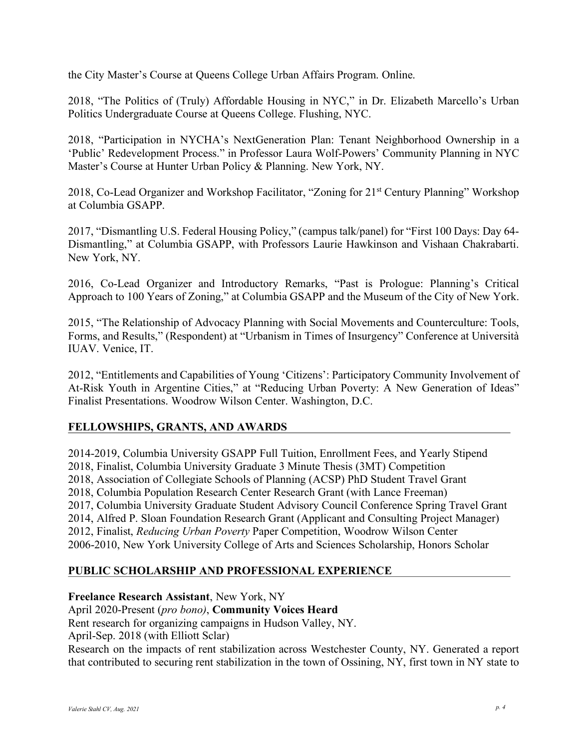the City Master's Course at Queens College Urban Affairs Program. Online.

2018, "The Politics of (Truly) Affordable Housing in NYC," in Dr. Elizabeth Marcello's Urban Politics Undergraduate Course at Queens College. Flushing, NYC.

2018, "Participation in NYCHA's NextGeneration Plan: Tenant Neighborhood Ownership in a 'Public' Redevelopment Process." in Professor Laura Wolf-Powers' Community Planning in NYC Master's Course at Hunter Urban Policy & Planning. New York, NY.

2018, Co-Lead Organizer and Workshop Facilitator, "Zoning for 21st Century Planning" Workshop at Columbia GSAPP.

2017, "Dismantling U.S. Federal Housing Policy," (campus talk/panel) for "First 100 Days: Day 64- Dismantling," at Columbia GSAPP, with Professors Laurie Hawkinson and Vishaan Chakrabarti. New York, NY.

2016, Co-Lead Organizer and Introductory Remarks, "Past is Prologue: Planning's Critical Approach to 100 Years of Zoning," at Columbia GSAPP and the Museum of the City of New York.

2015, "The Relationship of Advocacy Planning with Social Movements and Counterculture: Tools, Forms, and Results," (Respondent) at "Urbanism in Times of Insurgency" Conference at Università IUAV. Venice, IT.

2012, "Entitlements and Capabilities of Young 'Citizens': Participatory Community Involvement of At-Risk Youth in Argentine Cities," at "Reducing Urban Poverty: A New Generation of Ideas" Finalist Presentations. Woodrow Wilson Center. Washington, D.C.

# **FELLOWSHIPS, GRANTS, AND AWARDS**

2014-2019, Columbia University GSAPP Full Tuition, Enrollment Fees, and Yearly Stipend 2018, Finalist, Columbia University Graduate 3 Minute Thesis (3MT) Competition 2018, Association of Collegiate Schools of Planning (ACSP) PhD Student Travel Grant 2018, Columbia Population Research Center Research Grant (with Lance Freeman) 2017, Columbia University Graduate Student Advisory Council Conference Spring Travel Grant 2014, Alfred P. Sloan Foundation Research Grant (Applicant and Consulting Project Manager) 2012, Finalist, *Reducing Urban Poverty* Paper Competition, Woodrow Wilson Center 2006-2010, New York University College of Arts and Sciences Scholarship, Honors Scholar

## **PUBLIC SCHOLARSHIP AND PROFESSIONAL EXPERIENCE**

## **Freelance Research Assistant**, New York, NY

April 2020-Present (*pro bono)*, **Community Voices Heard**

Rent research for organizing campaigns in Hudson Valley, NY.

April-Sep. 2018 (with Elliott Sclar)

Research on the impacts of rent stabilization across Westchester County, NY. Generated a report that contributed to securing rent stabilization in the town of Ossining, NY, first town in NY state to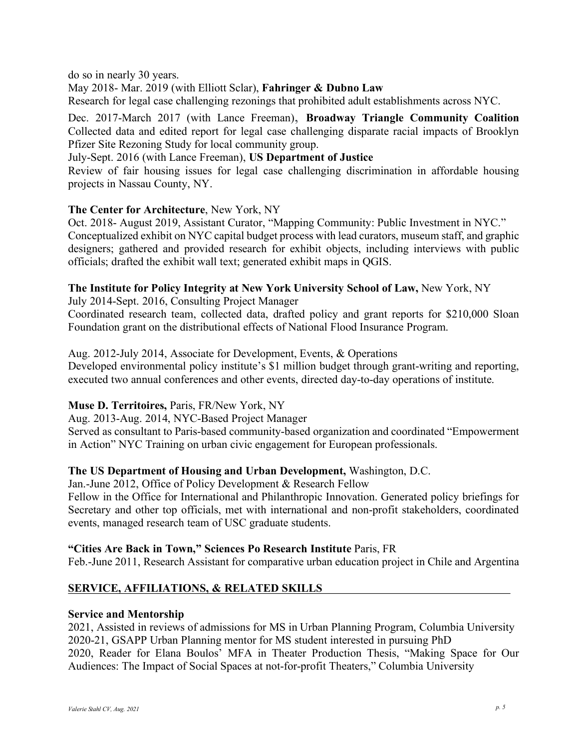do so in nearly 30 years.

May 2018- Mar. 2019 (with Elliott Sclar), **Fahringer & Dubno Law**

Research for legal case challenging rezonings that prohibited adult establishments across NYC.

Dec. 2017-March 2017 (with Lance Freeman), **Broadway Triangle Community Coalition** Collected data and edited report for legal case challenging disparate racial impacts of Brooklyn Pfizer Site Rezoning Study for local community group.

July-Sept. 2016 (with Lance Freeman), **US Department of Justice**

Review of fair housing issues for legal case challenging discrimination in affordable housing projects in Nassau County, NY.

## **The Center for Architecture**, New York, NY

Oct. 2018- August 2019, Assistant Curator, "Mapping Community: Public Investment in NYC." Conceptualized exhibit on NYC capital budget process with lead curators, museum staff, and graphic designers; gathered and provided research for exhibit objects, including interviews with public officials; drafted the exhibit wall text; generated exhibit maps in QGIS.

## **The Institute for Policy Integrity at New York University School of Law,** New York, NY

July 2014-Sept. 2016, Consulting Project Manager

Coordinated research team, collected data, drafted policy and grant reports for \$210,000 Sloan Foundation grant on the distributional effects of National Flood Insurance Program.

## Aug. 2012-July 2014, Associate for Development, Events, & Operations

Developed environmental policy institute's \$1 million budget through grant-writing and reporting, executed two annual conferences and other events, directed day-to-day operations of institute.

# **Muse D. Territoires,** Paris, FR/New York, NY

## Aug. 2013-Aug. 2014, NYC-Based Project Manager

Served as consultant to Paris-based community-based organization and coordinated "Empowerment in Action" NYC Training on urban civic engagement for European professionals.

# **The US Department of Housing and Urban Development,** Washington, D.C.

Jan.-June 2012, Office of Policy Development & Research Fellow Fellow in the Office for International and Philanthropic Innovation. Generated policy briefings for Secretary and other top officials, met with international and non-profit stakeholders, coordinated

# **"Cities Are Back in Town," Sciences Po Research Institute** Paris, FR

Feb.-June 2011, Research Assistant for comparative urban education project in Chile and Argentina

# **SERVICE, AFFILIATIONS, & RELATED SKILLS**

events, managed research team of USC graduate students.

## **Service and Mentorship**

2021, Assisted in reviews of admissions for MS in Urban Planning Program, Columbia University 2020-21, GSAPP Urban Planning mentor for MS student interested in pursuing PhD 2020, Reader for Elana Boulos' MFA in Theater Production Thesis, "Making Space for Our Audiences: The Impact of Social Spaces at not-for-profit Theaters," Columbia University